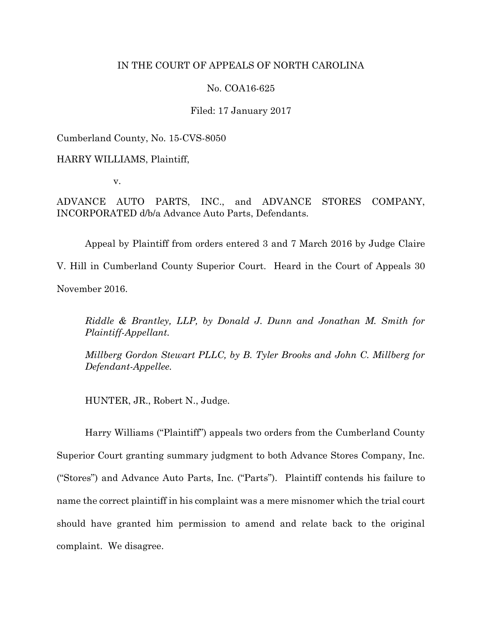# IN THE COURT OF APPEALS OF NORTH CAROLINA

# No. COA16-625

# Filed: 17 January 2017

Cumberland County, No. 15-CVS-8050

HARRY WILLIAMS, Plaintiff,

v.

ADVANCE AUTO PARTS, INC., and ADVANCE STORES COMPANY, INCORPORATED d/b/a Advance Auto Parts, Defendants.

Appeal by Plaintiff from orders entered 3 and 7 March 2016 by Judge Claire V. Hill in Cumberland County Superior Court. Heard in the Court of Appeals 30 November 2016.

*Riddle & Brantley, LLP, by Donald J. Dunn and Jonathan M. Smith for Plaintiff-Appellant.*

*Millberg Gordon Stewart PLLC, by B. Tyler Brooks and John C. Millberg for Defendant-Appellee.*

HUNTER, JR., Robert N., Judge.

Harry Williams ("Plaintiff") appeals two orders from the Cumberland County Superior Court granting summary judgment to both Advance Stores Company, Inc. ("Stores") and Advance Auto Parts, Inc. ("Parts"). Plaintiff contends his failure to name the correct plaintiff in his complaint was a mere misnomer which the trial court should have granted him permission to amend and relate back to the original complaint. We disagree.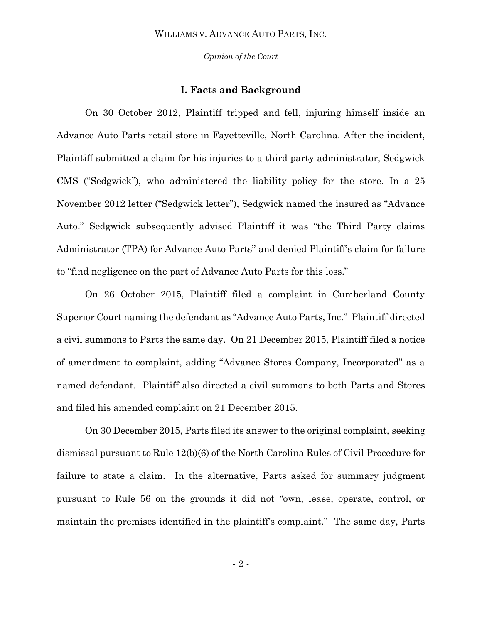*Opinion of the Court*

# **I. Facts and Background**

On 30 October 2012, Plaintiff tripped and fell, injuring himself inside an Advance Auto Parts retail store in Fayetteville, North Carolina. After the incident, Plaintiff submitted a claim for his injuries to a third party administrator, Sedgwick CMS ("Sedgwick"), who administered the liability policy for the store. In a 25 November 2012 letter ("Sedgwick letter"), Sedgwick named the insured as "Advance Auto." Sedgwick subsequently advised Plaintiff it was "the Third Party claims Administrator (TPA) for Advance Auto Parts" and denied Plaintiff's claim for failure to "find negligence on the part of Advance Auto Parts for this loss."

On 26 October 2015, Plaintiff filed a complaint in Cumberland County Superior Court naming the defendant as "Advance Auto Parts, Inc." Plaintiff directed a civil summons to Parts the same day. On 21 December 2015, Plaintiff filed a notice of amendment to complaint, adding "Advance Stores Company, Incorporated" as a named defendant. Plaintiff also directed a civil summons to both Parts and Stores and filed his amended complaint on 21 December 2015.

On 30 December 2015, Parts filed its answer to the original complaint, seeking dismissal pursuant to Rule 12(b)(6) of the North Carolina Rules of Civil Procedure for failure to state a claim. In the alternative, Parts asked for summary judgment pursuant to Rule 56 on the grounds it did not "own, lease, operate, control, or maintain the premises identified in the plaintiff's complaint." The same day, Parts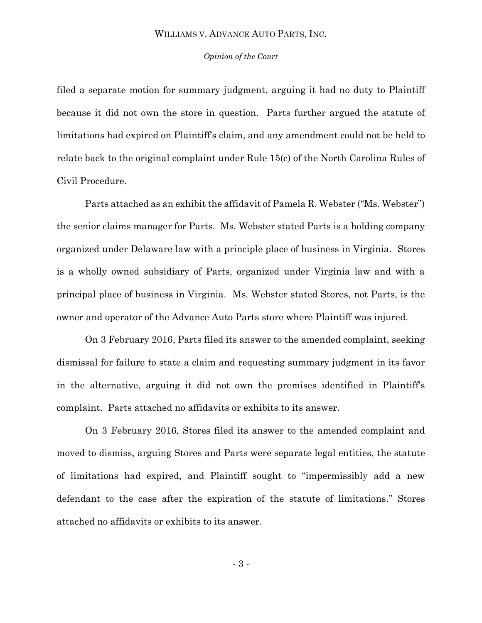### *Opinion of the Court*

filed a separate motion for summary judgment, arguing it had no duty to Plaintiff because it did not own the store in question. Parts further argued the statute of limitations had expired on Plaintiff's claim, and any amendment could not be held to relate back to the original complaint under Rule 15(c) of the North Carolina Rules of Civil Procedure.

Parts attached as an exhibit the affidavit of Pamela R. Webster ("Ms. Webster") the senior claims manager for Parts. Ms. Webster stated Parts is a holding company organized under Delaware law with a principle place of business in Virginia. Stores is a wholly owned subsidiary of Parts, organized under Virginia law and with a principal place of business in Virginia. Ms. Webster stated Stores, not Parts, is the owner and operator of the Advance Auto Parts store where Plaintiff was injured.

On 3 February 2016, Parts filed its answer to the amended complaint, seeking dismissal for failure to state a claim and requesting summary judgment in its favor in the alternative, arguing it did not own the premises identified in Plaintiff's complaint. Parts attached no affidavits or exhibits to its answer.

On 3 February 2016, Stores filed its answer to the amended complaint and moved to dismiss, arguing Stores and Parts were separate legal entities, the statute of limitations had expired, and Plaintiff sought to "impermissibly add a new defendant to the case after the expiration of the statute of limitations." Stores attached no affidavits or exhibits to its answer.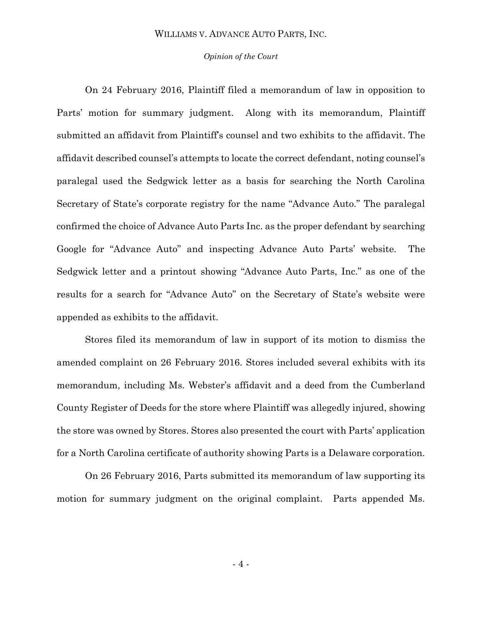### *Opinion of the Court*

On 24 February 2016, Plaintiff filed a memorandum of law in opposition to Parts' motion for summary judgment. Along with its memorandum, Plaintiff submitted an affidavit from Plaintiff's counsel and two exhibits to the affidavit. The affidavit described counsel's attempts to locate the correct defendant, noting counsel's paralegal used the Sedgwick letter as a basis for searching the North Carolina Secretary of State's corporate registry for the name "Advance Auto." The paralegal confirmed the choice of Advance Auto Parts Inc. as the proper defendant by searching Google for "Advance Auto" and inspecting Advance Auto Parts' website. The Sedgwick letter and a printout showing "Advance Auto Parts, Inc." as one of the results for a search for "Advance Auto" on the Secretary of State's website were appended as exhibits to the affidavit.

Stores filed its memorandum of law in support of its motion to dismiss the amended complaint on 26 February 2016. Stores included several exhibits with its memorandum, including Ms. Webster's affidavit and a deed from the Cumberland County Register of Deeds for the store where Plaintiff was allegedly injured, showing the store was owned by Stores. Stores also presented the court with Parts' application for a North Carolina certificate of authority showing Parts is a Delaware corporation.

On 26 February 2016, Parts submitted its memorandum of law supporting its motion for summary judgment on the original complaint. Parts appended Ms.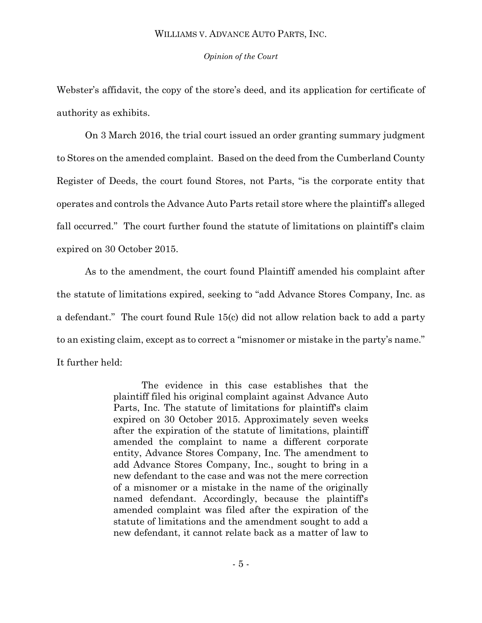*Opinion of the Court*

Webster's affidavit, the copy of the store's deed, and its application for certificate of authority as exhibits.

On 3 March 2016, the trial court issued an order granting summary judgment to Stores on the amended complaint. Based on the deed from the Cumberland County Register of Deeds, the court found Stores, not Parts, "is the corporate entity that operates and controls the Advance Auto Parts retail store where the plaintiff's alleged fall occurred." The court further found the statute of limitations on plaintiff's claim expired on 30 October 2015.

As to the amendment, the court found Plaintiff amended his complaint after the statute of limitations expired, seeking to "add Advance Stores Company, Inc. as a defendant." The court found Rule 15(c) did not allow relation back to add a party to an existing claim, except as to correct a "misnomer or mistake in the party's name." It further held:

> The evidence in this case establishes that the plaintiff filed his original complaint against Advance Auto Parts, Inc. The statute of limitations for plaintiff's claim expired on 30 October 2015. Approximately seven weeks after the expiration of the statute of limitations, plaintiff amended the complaint to name a different corporate entity, Advance Stores Company, Inc. The amendment to add Advance Stores Company, Inc., sought to bring in a new defendant to the case and was not the mere correction of a misnomer or a mistake in the name of the originally named defendant. Accordingly, because the plaintiff's amended complaint was filed after the expiration of the statute of limitations and the amendment sought to add a new defendant, it cannot relate back as a matter of law to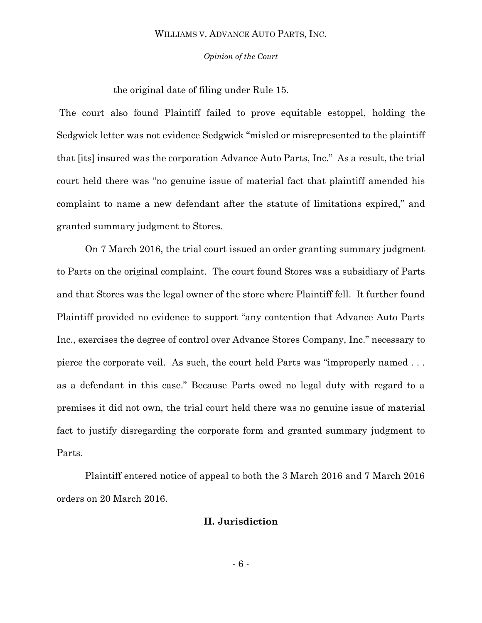### *Opinion of the Court*

the original date of filing under Rule 15.

The court also found Plaintiff failed to prove equitable estoppel, holding the Sedgwick letter was not evidence Sedgwick "misled or misrepresented to the plaintiff that [its] insured was the corporation Advance Auto Parts, Inc." As a result, the trial court held there was "no genuine issue of material fact that plaintiff amended his complaint to name a new defendant after the statute of limitations expired," and granted summary judgment to Stores.

On 7 March 2016, the trial court issued an order granting summary judgment to Parts on the original complaint. The court found Stores was a subsidiary of Parts and that Stores was the legal owner of the store where Plaintiff fell. It further found Plaintiff provided no evidence to support "any contention that Advance Auto Parts Inc., exercises the degree of control over Advance Stores Company, Inc." necessary to pierce the corporate veil. As such, the court held Parts was "improperly named . . . as a defendant in this case." Because Parts owed no legal duty with regard to a premises it did not own, the trial court held there was no genuine issue of material fact to justify disregarding the corporate form and granted summary judgment to Parts.

Plaintiff entered notice of appeal to both the 3 March 2016 and 7 March 2016 orders on 20 March 2016.

# **II. Jurisdiction**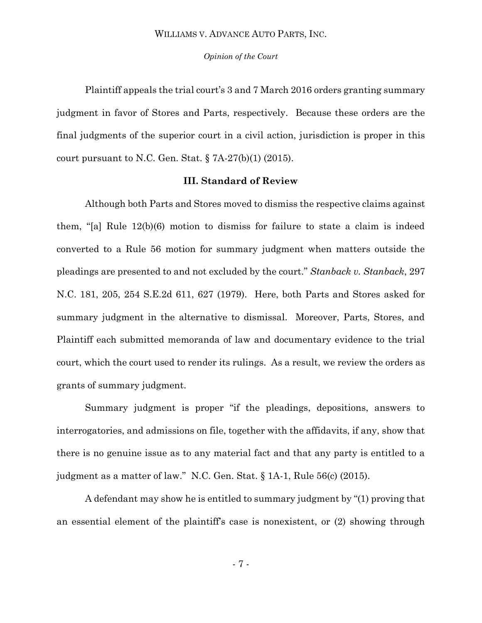### *Opinion of the Court*

Plaintiff appeals the trial court's 3 and 7 March 2016 orders granting summary judgment in favor of Stores and Parts, respectively. Because these orders are the final judgments of the superior court in a civil action, jurisdiction is proper in this court pursuant to N.C. Gen. Stat.  $\S$  7A-27(b)(1) (2015).

# **III. Standard of Review**

Although both Parts and Stores moved to dismiss the respective claims against them, "[a] Rule 12(b)(6) motion to dismiss for failure to state a claim is indeed converted to a Rule 56 motion for summary judgment when matters outside the pleadings are presented to and not excluded by the court." *Stanback v. Stanback*, 297 N.C. 181, 205, 254 S.E.2d 611, 627 (1979). Here, both Parts and Stores asked for summary judgment in the alternative to dismissal. Moreover, Parts, Stores, and Plaintiff each submitted memoranda of law and documentary evidence to the trial court, which the court used to render its rulings. As a result, we review the orders as grants of summary judgment.

Summary judgment is proper "if the pleadings, depositions, answers to interrogatories, and admissions on file, together with the affidavits, if any, show that there is no genuine issue as to any material fact and that any party is entitled to a judgment as a matter of law." N.C. Gen. Stat. § 1A-1, Rule 56(c) (2015).

A defendant may show he is entitled to summary judgment by "(1) proving that an essential element of the plaintiff's case is nonexistent, or (2) showing through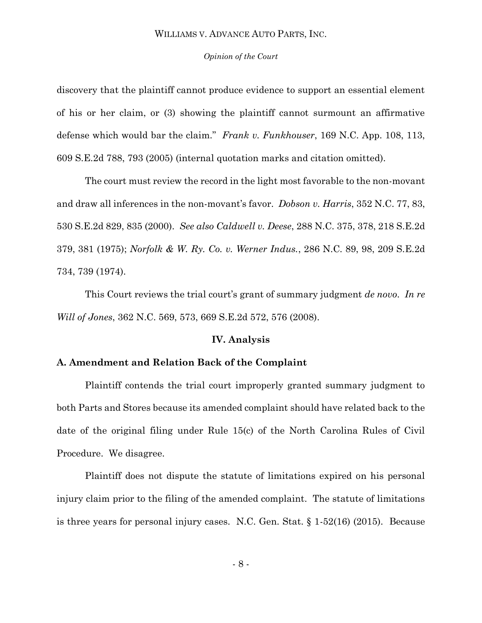#### *Opinion of the Court*

discovery that the plaintiff cannot produce evidence to support an essential element of his or her claim, or (3) showing the plaintiff cannot surmount an affirmative defense which would bar the claim." *Frank v. Funkhouser*, 169 N.C. App. 108, 113, 609 S.E.2d 788, 793 (2005) (internal quotation marks and citation omitted).

The court must review the record in the light most favorable to the non-movant and draw all inferences in the non-movant's favor. *Dobson v. Harris*, 352 N.C. 77, 83, 530 S.E.2d 829, 835 (2000). *See also Caldwell v. Deese*, 288 N.C. 375, 378, 218 S.E.2d 379, 381 (1975); *Norfolk & W. Ry. Co. v. Werner Indus.*, 286 N.C. 89, 98, 209 S.E.2d 734, 739 (1974).

This Court reviews the trial court's grant of summary judgment *de novo*. *In re Will of Jones*, 362 N.C. 569, 573, 669 S.E.2d 572, 576 (2008).

#### **IV. Analysis**

# **A. Amendment and Relation Back of the Complaint**

Plaintiff contends the trial court improperly granted summary judgment to both Parts and Stores because its amended complaint should have related back to the date of the original filing under Rule 15(c) of the North Carolina Rules of Civil Procedure. We disagree.

Plaintiff does not dispute the statute of limitations expired on his personal injury claim prior to the filing of the amended complaint. The statute of limitations is three years for personal injury cases. N.C. Gen. Stat. § 1-52(16) (2015). Because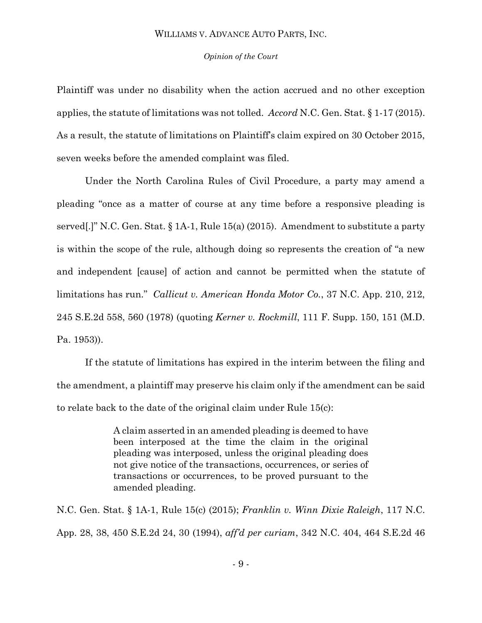### *Opinion of the Court*

Plaintiff was under no disability when the action accrued and no other exception applies, the statute of limitations was not tolled. *Accord* N.C. Gen. Stat. § 1-17 (2015). As a result, the statute of limitations on Plaintiff's claim expired on 30 October 2015, seven weeks before the amended complaint was filed.

Under the North Carolina Rules of Civil Procedure, a party may amend a pleading "once as a matter of course at any time before a responsive pleading is served[.]" N.C. Gen. Stat. § 1A-1, Rule 15(a) (2015). Amendment to substitute a party is within the scope of the rule, although doing so represents the creation of "a new and independent [cause] of action and cannot be permitted when the statute of limitations has run." *Callicut v. American Honda Motor Co.*, 37 N.C. App. 210, 212, 245 S.E.2d 558, 560 (1978) (quoting *Kerner v. Rockmill*, 111 F. Supp. 150, 151 (M.D. Pa. 1953)).

If the statute of limitations has expired in the interim between the filing and the amendment, a plaintiff may preserve his claim only if the amendment can be said to relate back to the date of the original claim under Rule 15(c):

> A claim asserted in an amended pleading is deemed to have been interposed at the time the claim in the original pleading was interposed, unless the original pleading does not give notice of the transactions, occurrences, or series of transactions or occurrences, to be proved pursuant to the amended pleading.

N.C. Gen. Stat. § 1A-1, Rule 15(c) (2015); *Franklin v. Winn Dixie Raleigh*, 117 N.C. App. 28, 38, 450 S.E.2d 24, 30 (1994), *aff'd per curiam*, 342 N.C. 404, 464 S.E.2d 46

- 9 -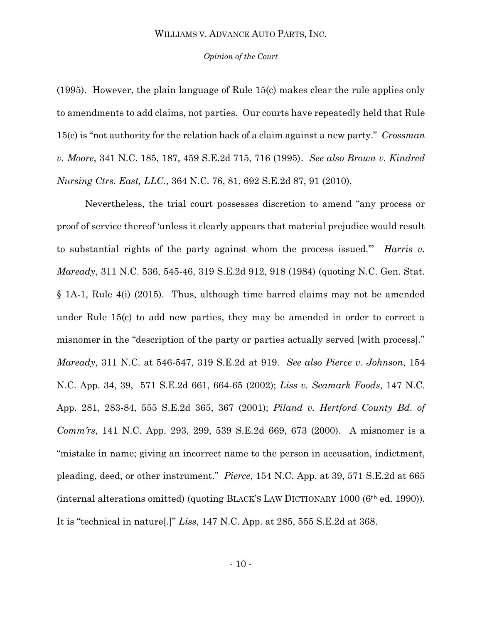#### *Opinion of the Court*

(1995). However, the plain language of Rule 15(c) makes clear the rule applies only to amendments to add claims, not parties. Our courts have repeatedly held that Rule 15(c) is "not authority for the relation back of a claim against a new party." *Crossman v. Moore*, 341 N.C. 185, 187, 459 S.E.2d 715, 716 (1995). *See also Brown v. Kindred Nursing Ctrs. East, LLC.*, 364 N.C. 76, 81, 692 S.E.2d 87, 91 (2010).

Nevertheless, the trial court possesses discretion to amend "any process or proof of service thereof 'unless it clearly appears that material prejudice would result to substantial rights of the party against whom the process issued.'" *Harris v. Maready*, 311 N.C. 536, 545-46, 319 S.E.2d 912, 918 (1984) (quoting N.C. Gen. Stat. § 1A-1, Rule 4(i) (2015). Thus, although time barred claims may not be amended under Rule 15(c) to add new parties, they may be amended in order to correct a misnomer in the "description of the party or parties actually served [with process]." *Maready*, 311 N.C. at 546-547, 319 S.E.2d at 919. *See also Pierce v. Johnson*, 154 N.C. App. 34, 39, 571 S.E.2d 661, 664-65 (2002); *Liss v. Seamark Foods*, 147 N.C. App. 281, 283-84, 555 S.E.2d 365, 367 (2001); *Piland v. Hertford County Bd. of Comm'rs*, 141 N.C. App. 293, 299, 539 S.E.2d 669, 673 (2000). A misnomer is a "mistake in name; giving an incorrect name to the person in accusation, indictment, pleading, deed, or other instrument." *Pierce*, 154 N.C. App. at 39, 571 S.E.2d at 665 (internal alterations omitted) (quoting BLACK'S LAW DICTIONARY 1000 (6th ed. 1990)). It is "technical in nature[.]" *Liss*, 147 N.C. App. at 285, 555 S.E.2d at 368.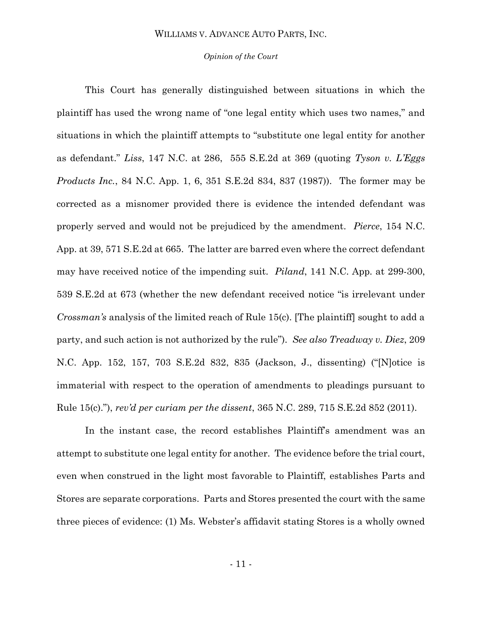### *Opinion of the Court*

This Court has generally distinguished between situations in which the plaintiff has used the wrong name of "one legal entity which uses two names," and situations in which the plaintiff attempts to "substitute one legal entity for another as defendant." *Liss*, 147 N.C. at 286, 555 S.E.2d at 369 (quoting *Tyson v. L'Eggs Products Inc.*, 84 N.C. App. 1, 6, 351 S.E.2d 834, 837 (1987)). The former may be corrected as a misnomer provided there is evidence the intended defendant was properly served and would not be prejudiced by the amendment. *Pierce*, 154 N.C. App. at 39, 571 S.E.2d at 665. The latter are barred even where the correct defendant may have received notice of the impending suit. *Piland*, 141 N.C. App. at 299-300, 539 S.E.2d at 673 (whether the new defendant received notice "is irrelevant under *Crossman's* analysis of the limited reach of Rule 15(c). [The plaintiff] sought to add a party, and such action is not authorized by the rule"). *See also Treadway v. Diez*, 209 N.C. App. 152, 157, 703 S.E.2d 832, 835 (Jackson, J., dissenting) ("[N]otice is immaterial with respect to the operation of amendments to pleadings pursuant to Rule 15(c)."), *rev'd per curiam per the dissent*, 365 N.C. 289, 715 S.E.2d 852 (2011).

In the instant case, the record establishes Plaintiff's amendment was an attempt to substitute one legal entity for another. The evidence before the trial court, even when construed in the light most favorable to Plaintiff, establishes Parts and Stores are separate corporations. Parts and Stores presented the court with the same three pieces of evidence: (1) Ms. Webster's affidavit stating Stores is a wholly owned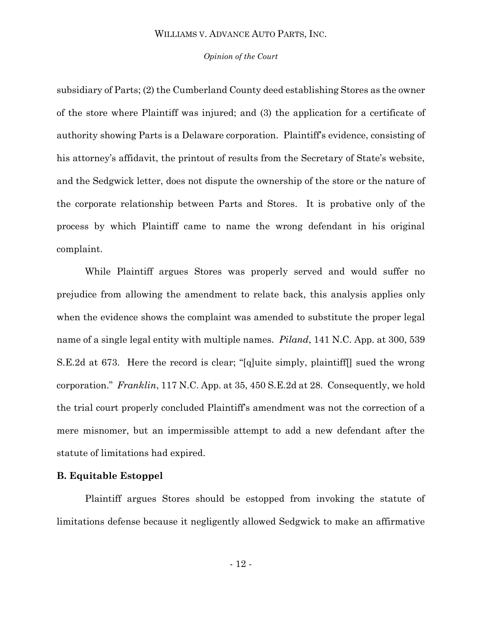### *Opinion of the Court*

subsidiary of Parts; (2) the Cumberland County deed establishing Stores as the owner of the store where Plaintiff was injured; and (3) the application for a certificate of authority showing Parts is a Delaware corporation. Plaintiff's evidence, consisting of his attorney's affidavit, the printout of results from the Secretary of State's website, and the Sedgwick letter, does not dispute the ownership of the store or the nature of the corporate relationship between Parts and Stores. It is probative only of the process by which Plaintiff came to name the wrong defendant in his original complaint.

While Plaintiff argues Stores was properly served and would suffer no prejudice from allowing the amendment to relate back, this analysis applies only when the evidence shows the complaint was amended to substitute the proper legal name of a single legal entity with multiple names. *Piland*, 141 N.C. App. at 300, 539 S.E.2d at 673. Here the record is clear; "[q]uite simply, plaintiff[] sued the wrong corporation." *Franklin*, 117 N.C. App. at 35, 450 S.E.2d at 28. Consequently, we hold the trial court properly concluded Plaintiff's amendment was not the correction of a mere misnomer, but an impermissible attempt to add a new defendant after the statute of limitations had expired.

# **B. Equitable Estoppel**

Plaintiff argues Stores should be estopped from invoking the statute of limitations defense because it negligently allowed Sedgwick to make an affirmative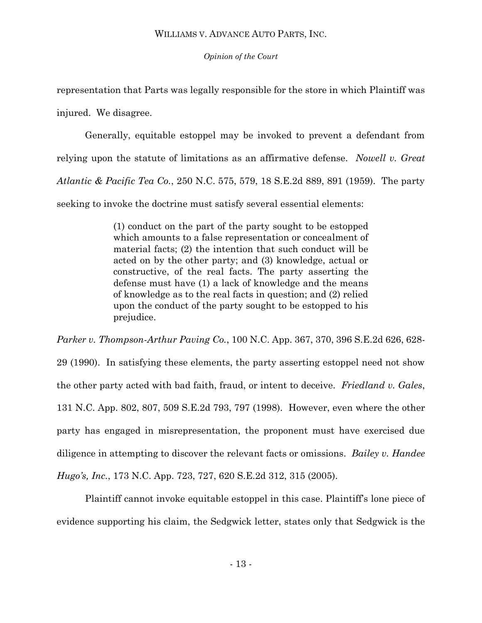*Opinion of the Court*

representation that Parts was legally responsible for the store in which Plaintiff was injured. We disagree.

Generally, equitable estoppel may be invoked to prevent a defendant from relying upon the statute of limitations as an affirmative defense. *Nowell v. Great Atlantic & Pacific Tea Co.*, 250 N.C. 575, 579, 18 S.E.2d 889, 891 (1959). The party seeking to invoke the doctrine must satisfy several essential elements:

> (1) conduct on the part of the party sought to be estopped which amounts to a false representation or concealment of material facts; (2) the intention that such conduct will be acted on by the other party; and (3) knowledge, actual or constructive, of the real facts. The party asserting the defense must have (1) a lack of knowledge and the means of knowledge as to the real facts in question; and (2) relied upon the conduct of the party sought to be estopped to his prejudice.

*Parker v. Thompson-Arthur Paving Co.*, 100 N.C. App. 367, 370, 396 S.E.2d 626, 628- 29 (1990). In satisfying these elements, the party asserting estoppel need not show the other party acted with bad faith, fraud, or intent to deceive. *Friedland v. Gales*, 131 N.C. App. 802, 807, 509 S.E.2d 793, 797 (1998). However, even where the other party has engaged in misrepresentation, the proponent must have exercised due diligence in attempting to discover the relevant facts or omissions. *Bailey v. Handee Hugo's, Inc.*, 173 N.C. App. 723, 727, 620 S.E.2d 312, 315 (2005).

Plaintiff cannot invoke equitable estoppel in this case. Plaintiff's lone piece of evidence supporting his claim, the Sedgwick letter, states only that Sedgwick is the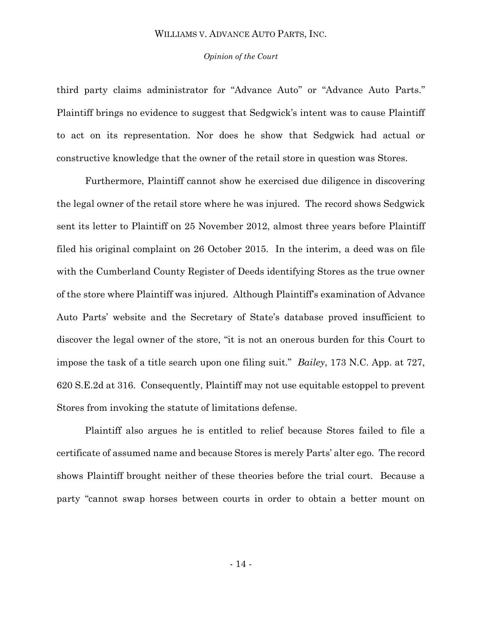### *Opinion of the Court*

third party claims administrator for "Advance Auto" or "Advance Auto Parts." Plaintiff brings no evidence to suggest that Sedgwick's intent was to cause Plaintiff to act on its representation. Nor does he show that Sedgwick had actual or constructive knowledge that the owner of the retail store in question was Stores.

Furthermore, Plaintiff cannot show he exercised due diligence in discovering the legal owner of the retail store where he was injured. The record shows Sedgwick sent its letter to Plaintiff on 25 November 2012, almost three years before Plaintiff filed his original complaint on 26 October 2015. In the interim, a deed was on file with the Cumberland County Register of Deeds identifying Stores as the true owner of the store where Plaintiff was injured. Although Plaintiff's examination of Advance Auto Parts' website and the Secretary of State's database proved insufficient to discover the legal owner of the store, "it is not an onerous burden for this Court to impose the task of a title search upon one filing suit." *Bailey*, 173 N.C. App. at 727, 620 S.E.2d at 316. Consequently, Plaintiff may not use equitable estoppel to prevent Stores from invoking the statute of limitations defense.

Plaintiff also argues he is entitled to relief because Stores failed to file a certificate of assumed name and because Stores is merely Parts' alter ego. The record shows Plaintiff brought neither of these theories before the trial court. Because a party "cannot swap horses between courts in order to obtain a better mount on